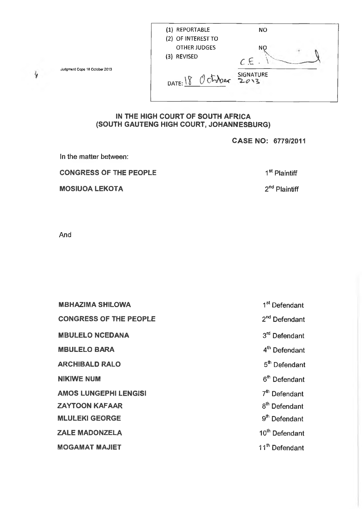| (1) REPORTABLE<br>(2) OF INTEREST TO | NΟ       |
|--------------------------------------|----------|
| <b>OTHER JUDGES</b><br>(3) REVISED   | NO<br>СE |
| DATE: $18$ October SIGNATURE         |          |

Judgment Cope 18 October 2013

# **IN THE HIGH COURT OF SOUTH AFRICA (SOUTH GAUTENG HIGH COURT, JOHANNESBURG)**

## **CASE NO: 6779/2011**

In the matter between: **CONGRESS OF THE PEOPLE** 1<sup>st</sup> Plaintiff **MOSIUOA LEKOTA** 2<sup>nd</sup> Plaintiff

And

| <b>MBHAZIMA SHILOWA</b>       | 1 <sup>st</sup> Defendant  |
|-------------------------------|----------------------------|
| <b>CONGRESS OF THE PEOPLE</b> | $2nd$ Defendant            |
| <b>MBULELO NCEDANA</b>        | 3 <sup>rd</sup> Defendant  |
| <b>MBULELO BARA</b>           | 4 <sup>th</sup> Defendant  |
| <b>ARCHIBALD RALO</b>         | 5 <sup>th</sup> Defendant  |
| <b>NIKIWE NUM</b>             | 6 <sup>th</sup> Defendant  |
| <b>AMOS LUNGEPHI LENGISI</b>  | 7 <sup>th</sup> Defendant  |
| <b>ZAYTOON KAFAAR</b>         | 8 <sup>th</sup> Defendant  |
| <b>MLULEKI GEORGE</b>         | 9 <sup>th</sup> Defendant  |
| <b>ZALE MADONZELA</b>         | 10 <sup>th</sup> Defendant |
| <b>MOGAMAT MAJIET</b>         | 11 <sup>th</sup> Defendant |

 $\frac{1}{3}$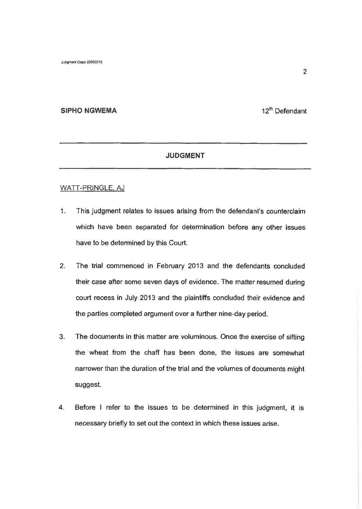## **SIPHO NGWEMA** 12<sup>th</sup> Defendant

## **JUDGMENT**

#### WATT-PRINGLE. AJ

- 1. This judgment relates to issues arising from the defendant's counterclaim which have been separated for determination before any other issues have to be determined by this Court.
- 2. The trial commenced in February 2013 and the defendants concluded their case after some seven days of evidence. The matter resumed during court recess in July 2013 and the plaintiffs concluded their evidence and the parties completed argument over a further nine-day period.
- 3. The documents in this matter are voluminous. Once the exercise of sifting the wheat from the chaff has been done, the issues are somewhat narrower than the duration of the trial and the volumes of documents might suggest.
- 4. Before I refer to the issues to be determined in this judgment, it is necessary briefly to set out the context in which these issues arise.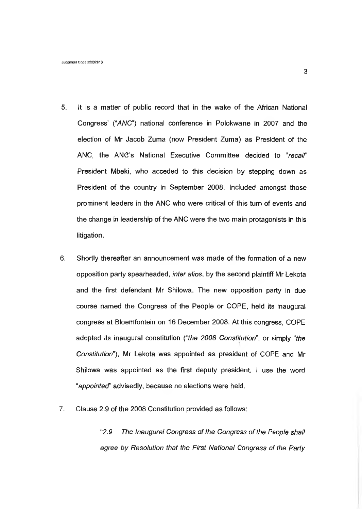- 5. It is a matter of public record that in the wake of the African National Congress' ("*ANC'')* national conference in Polokwane in 2007 and the election of Mr Jacob Zuma (now President Zuma) as President of the ANC, the ANC's National Executive Committee decided to *"recalf'* President Mbeki, who acceded to this decision by stepping down as President of the country in September 2008. Included amongst those prominent leaders in the ANC who were critical of this turn of events and the change in leadership of the ANC were the two main protagonists in this litigation.
- 6. Shortly thereafter an announcement was made of the formation of a new opposition party spearheaded, *inter alios,* by the second plaintiff Mr Lekota and the first defendant Mr Shilowa. The new opposition party in due course named the Congress of the People or COPE, held its inaugural congress at Bloemfontein on 16 December 2008. At this congress, COPE adopted its inaugural constitution *("the 2008 Constitution",* or simply *"the Constitution"),* Mr Lekota was appointed as president of COPE and Mr Shilowa was appointed as the first deputy president. I use the word *"appointed*" advisedly, because no elections were held.
- 7. Clause 2.9 of the 2008 Constitution provided as follows:

"*2.9 The inaugural Congress of the Congress of the People shall agree by Resolution that the First National Congress of the Party*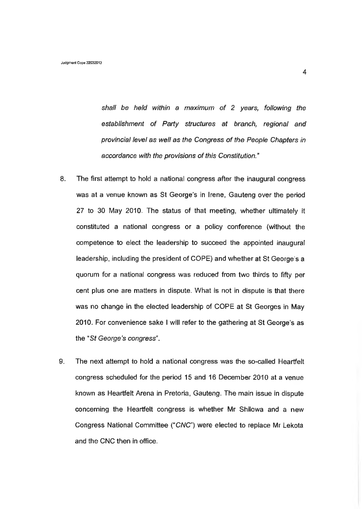*shall be held within a maximum of 2 years, following the establishment of Party structures at branch, regional and provincial level as well as the Congress of the People Chapters in accordance with the provisions of this Constitution."*

- 8. The first attempt to hold a national congress after the inaugural congress was at a venue known as St George's in Irene, Gauteng over the period 27 to 30 May 2010. The status of that meeting, whether ultimately it constituted a national congress or a policy conference (without the competence to elect the leadership to succeed the appointed inaugural leadership, including the president of COPE) and whether at St George's a quorum for a national congress was reduced from two thirds to fifty per cent plus one are matters in dispute. What is not in dispute is that there was no change in the elected leadership of COPE at St Georges in May 2010. For convenience sake I will refer to the gathering at St George's as the *"St George's congress".*
- 9. The next attempt to hold a national congress was the so-called Heartfelt congress scheduled for the period 15 and 16 December 2010 at a venue known as Heartfelt Arena in Pretoria, Gauteng. The main issue in dispute concerning the Heartfelt congress is whether Mr Shilowa and a new Congress National Committee ("CNC") were elected to replace Mr Lekota and the CNC then in office.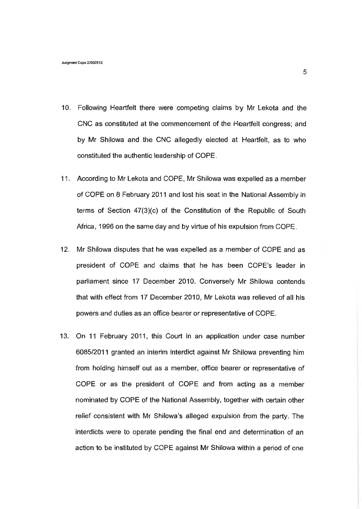- 10. Following Heartfelt there were competing claims by Mr Lekota and the CNC as constituted at the commencement of the Heartfelt congress; and by Mr Shilowa and the CNC allegedly elected at Heartfelt, as to who constituted the authentic leadership of COPE.
- 11. According to Mr Lekota and COPE, Mr Shilowa was expelled as a member of COPE on 8 February 2011 and lost his seat in the National Assembly in terms of Section 47(3)(c) of the Constitution of the Republic of South Africa, 1996 on the same day and by virtue of his expulsion from COPE.
- 12. Mr Shilowa disputes that he was expelled as a member of COPE and as president of COPE and claims that he has been COPE's leader in parliament since 17 December 2010. Conversely Mr Shilowa contends that with effect from 17 December 2010, Mr Lekota was relieved of all his powers and duties as an office bearer or representative of COPE.
- 13. On 11 February 2011, this Court in an application under case number 6085/2011 granted an interim interdict against Mr Shilowa preventing him from holding himself out as a member, office bearer or representative of COPE or as the president of COPE and from acting as a member nominated by COPE of the National Assembly, together with certain other relief consistent with Mr Shilowa's alleged expulsion from the party. The interdicts were to operate pending the final end and determination of an action to be instituted by COPE against Mr Shilowa within a period of one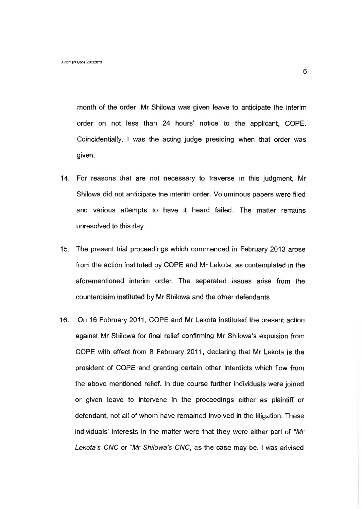month of the order. Mr Shilowa was given leave to anticipate the interim order on not less than 24 hours' notice to the applicant, COPE. Coincidentially,  $\vdash$  was the acting judge presiding when that order was given.

- 14. For reasons that are not necessary to traverse in this judgment, Mr Shilowa did not anticipate the interim order. Voluminous papers were filed and various attempts to have it heard failed. The matter remains unresolved to this day.
- 15. The present trial proceedings which commenced in February 2013 arose from the action instituted by COPE and Mr Lekota, as contemplated in the aforementioned interim order. The separated issues arise from the counterclaim instituted by Mr Shilowa and the other defendants
- 16. On 16 February 2011, COPE and Mr Lekota instituted the present action against Mr Shilowa for final relief confirming Mr Shilowa's expulsion from COPE with effect from 8 February 2011, declaring that Mr Lekota is the president of COPE and granting certain other interdicts which flow from the above mentioned relief. In due course further individuals were joined or given leave to intervene in the proceedings either as plaintiff or defendant, not all of whom have remained involved in the litigation. These individuals' interests in the matter were that they were either part of *"Mr Lekota's CNC* or *"Mr Shilowa's CNC,* as the case may be. I was advised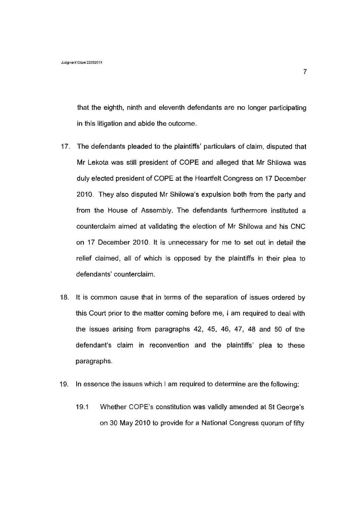that the eighth, ninth and eleventh defendants are no longer participating in this litigation and abide the outcome.

- 17. The defendants pleaded to the plaintiffs' particulars of claim, disputed that Mr Lekota was still president of COPE and alleged that Mr Shilowa was duly elected president of COPE at the Heartfelt Congress on 17 December 2010. They also disputed Mr Shilowa's expulsion both from the party and from the House of Assembly. The defendants furthermore instituted a counterclaim aimed at validating the election of Mr Shilowa and his CNC on 17 December 2010. It is unnecessary for me to set out in detail the relief claimed, all of which is opposed by the plaintiffs in their plea to defendants' counterclaim.
- 18. It is common cause that in terms of the separation of issues ordered by this Court prior to the matter coming before me, I am required to deal with the issues arising from paragraphs 42, 45, 46, 47, 48 and 50 of the defendant's claim in reconvention and the plaintiffs' plea to these paragraphs.
- 19. In essence the issues which i am required to determine are the following:
	- 19.1 Whether COPE's constitution was validly amended at St George's on 30 May 2010 to provide for a National Congress quorum of fifty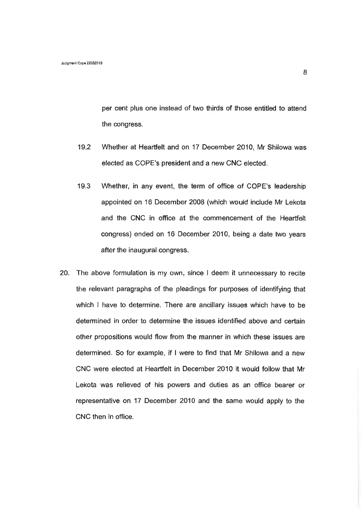per cent plus one instead of two thirds of those entitled to attend the congress.

- 19.2 Whether at Heartfelt and on 17 December 2010, Mr Shilowa was elected as COPE's president and a new CNC elected.
- 19.3 Whether, in any event, the term of office of COPE's leadership appointed on 16 December 2008 (which would include Mr Lekota and the CNC in office at the commencement of the Heartfelt congress) ended on 16 December 2010, being a date two years after the inaugural congress.
- 20. The above formulation is my own, since I deem it unnecessary to recite the relevant paragraphs of the pleadings for purposes of identifying that which I have to determine. There are ancillary issues which have to be determined in order to determine the issues identified above and certain other propositions would flow from the manner in which these issues are determined. So for example, if I were to find that Mr Shilowa and a new CNC were elected at Heartfelt in December 2010 it would follow that Mr Lekota was relieved of his powers and duties as an office bearer or representative on 17 December 2010 and the same would apply to the CNC then in office.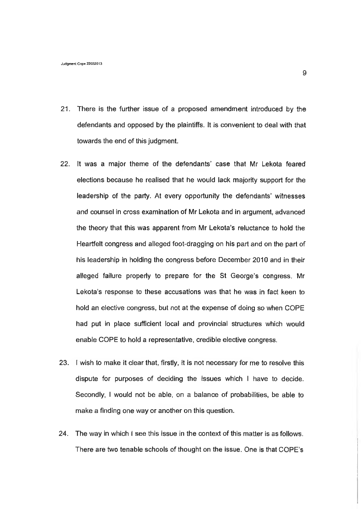- 21. There is the further issue of a proposed amendment introduced by the defendants and opposed by the plaintiffs. It is convenient to deal with that towards the end of this judgment.
- 22. it was a major theme of the defendants' case that Mr Lekota feared elections because he realised that he would lack majority support for the leadership of the party. At every opportunity the defendants' witnesses and counsel in cross examination of Mr Lekota and in argument, advanced the theory that this was apparent from Mr Lekota's reluctance to hold the Heartfelt congress and alleged foot-dragging on his part and on the part of his leadership in holding the congress before December 2010 and in their alleged failure properly to prepare for the St George's congress. Mr Lekota's response to these accusations was that he was in fact keen to hold an elective congress, but not at the expense of doing so when COPE had put in place sufficient local and provincial structures which would enable COPE to hold a representative, credible elective congress.
- 23. I wish to make it clear that, firstly, it is not necessary for me to resolve this dispute for purposes of deciding the issues which I have to decide. Secondly, I would not be able, on a balance of probabilities, be able to make a finding one way or another on this question.
- 24. The way in which I see this issue in the context of this matter is as follows. There are two tenable schools of thought on the issue. One is that COPE's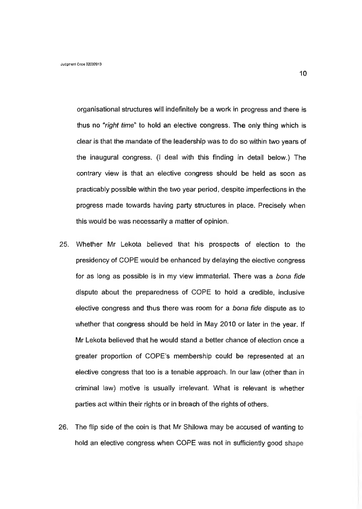organisational structures will indefinitely be a work in progress and there is thus no *"right time*" to hold an elective congress. The only thing which is clear is that the mandate of the leadership was to do so within two years of the inaugural congress. (I deal with this finding in detail below.) The contrary view is that an elective congress should be held as soon as practicably possible within the two year period, despite imperfections in the progress made towards having party structures in place. Precisely when this would be was necessarily a matter of opinion.

- 25. Whether Mr Lekota believed that his prospects of election to the presidency of COPE would be enhanced by delaying the elective congress for as long as possible is in my view immaterial. There was a *bona fide* dispute about the preparedness of COPE to hold a credible, inclusive elective congress and thus there was room for a *bona fide* dispute as to whether that congress should be held in May 2010 or later in the year. If Mr Lekota believed that he would stand a better chance of election once a greater proportion of COPE's membership could be represented at an elective congress that too is a tenable approach. In our law (other than in criminal law) motive is usually irrelevant. What is relevant is whether parties act within their rights or in breach of the rights of others.
- 26. The flip side of the coin is that Mr Shilowa may be accused of wanting to hold an elective congress when COPE was not in sufficiently good shape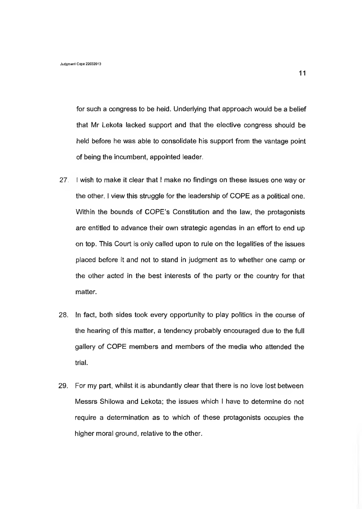for such a congress to be held. Underlying that approach would be a belief that Mr Lekota lacked support and that the elective congress should be held before he was able to consolidate his support from the vantage point of being the incumbent, appointed leader.

- 27. I wish to make it clear that I make no findings on these issues one way or the other. I view this struggle for the leadership of COPE as a political one. Within the bounds of COPE's Constitution and the law, the protagonists are entitled to advance their own strategic agendas in an effort to end up on top. This Court is only called upon to rule on the legalities of the issues placed before it and not to stand in judgment as to whether one camp or the other acted in the best interests of the party or the country for that matter.
- 28. In fact, both sides took every opportunity to play politics in the course of the hearing of this matter, a tendency probably encouraged due to the full gallery of COPE members and members of the media who attended the trial.
- 29. For my part, whilst it is abundantly clear that there is no love lost between Messrs Shilowa and Lekota; the issues which I have to determine do not require a determination as to which of these protagonists occupies the higher moral ground, relative to the other.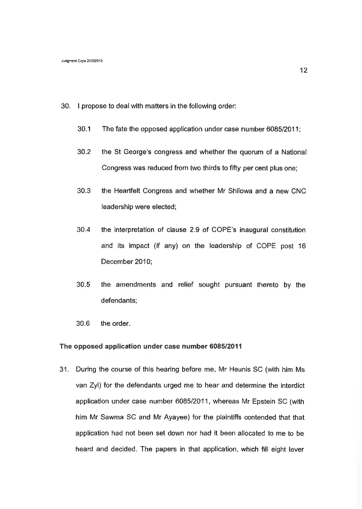- 30. I propose to deal with matters in the following order:
	- 30.1 The fate the opposed application under case number 6085/2011;
	- 30.2 the St George's congress and whether the quorum of a National Congress was reduced from two thirds to fifty per cent plus one;
	- 30.3 the Heartfelt Congress and whether Mr Shilowa and a new CNC leadership were elected;
	- 30.4 the interpretation of clause 2.9 of COPE's inaugural constitution and its impact (if any) on the leadership of COPE post 16 December 2010;
	- 30.5 the amendments and relief sought pursuant thereto by the defendants;
	- 30.6 the order.

#### **The opposed application under case number 6085/2011**

31. During the course of this hearing before me, Mr Heunis SC (with him Ms van Zyl) for the defendants urged me to hear and determine the interdict application under case number 6085/2011, whereas Mr Epstein SC (with him Mr Sawma SC and Mr Ayayee) for the plaintiffs contended that that application had not been set down nor had it been allocated to me to be heard and decided. The papers in that application, which fill eight lever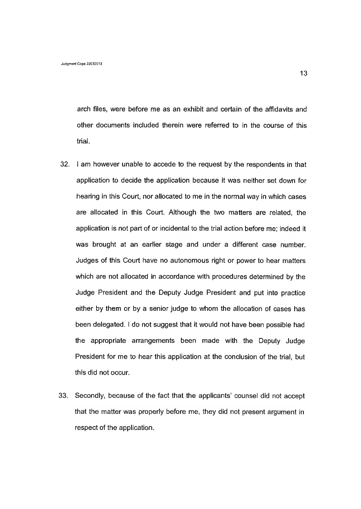arch files, were before me as an exhibit and certain of the affidavits and other documents included therein were referred to in the course of this trial.

- 32. I am however unable to accede to the request by the respondents in that application to decide the application because it was neither set down for hearing in this Court, nor allocated to me in the normal way in which cases are allocated in this Court. Although the two matters are related, the application is not part of or incidental to the trial action before me; indeed it was brought at an earlier stage and under a different case number. Judges of this Court have no autonomous right or power to hear matters which are not allocated in accordance with procedures determined by the Judge President and the Deputy Judge President and put into practice either by them or by a senior judge to whom the allocation of cases has been delegated. I do not suggest that it would not have been possible had the appropriate arrangements been made with the Deputy Judge President for me to hear this application at the conclusion of the trial, but this did not occur.
- 33. Secondly, because of the fact that the applicants' counsel did not accept that the matter was properly before me, they did not present argument in respect of the application.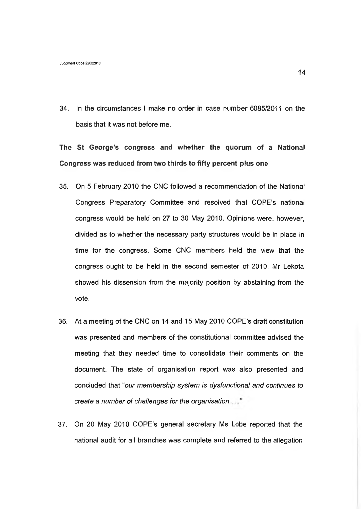34. In the circumstances I make no order in case number 6085/2011 on the basis that it was not before me.

**The St George's congress and whether the quorum of a National Congress was reduced from two thirds to fifty percent plus one**

- 35. On 5 February 2010 the CNC followed a recommendation of the National Congress Preparatory Committee and resolved that COPE's national congress would be held on 27 to 30 May 2010. Opinions were, however, divided as to whether the necessary party structures would be in place in time for the congress. Some CNC members held the view that the congress ought to be held in the second semester of 2010. Mr Lekota showed his dissension from the majority position by abstaining from the vote.
- 36. At a meeting of the CNC on 14 and 15 May 2010 COPE's draft constitution was presented and members of the constitutional committee advised the meeting that they needed time to consolidate their comments on the document. The state of organisation report was also presented and concluded that *"our membership system is dysfunctional and continues to create a number of challenges for the organisation*
- 37. On 20 May 2010 COPE's general secretary Ms Lobe reported that the national audit for all branches was complete and referred to the allegation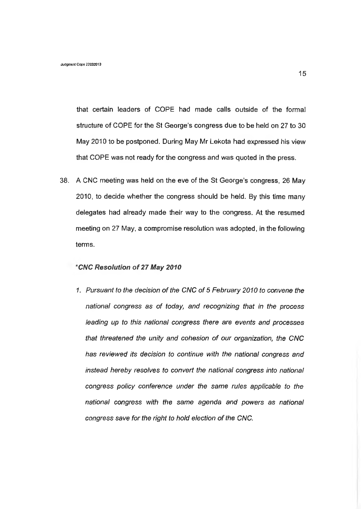that certain leaders of COPE had made calls outside of the formal structure of COPE for the St George's congress due to be held on 27 to 30 May 2010 to be postponed. During May Mr Lekota had expressed his view that COPE was not ready for the congress and was quoted in the press.

38. A CNC meeting was held on the eve of the St George's congress, 26 May 2010, to decide whether the congress should be held. By this time many delegates had already made their way to the congress. At the resumed meeting on 27 May, a compromise resolution was adopted, in the following terms.

#### **"C/VC** *Resolution of 27 May 2010*

*1. Pursuant to the decision of the CNC of 5 February 2010 to convene the national congress as of today, and recognizing that in the process leading up to this national congress there are events and processes that threatened the unity and cohesion of our organization, the CNC has reviewed its decision to continue with the national congress and instead hereby resolves to convert the national congress into national congress policy conference under the same rules applicable to the national congress with the same agenda and powers as national congress save for the right to hold election of the CNC.*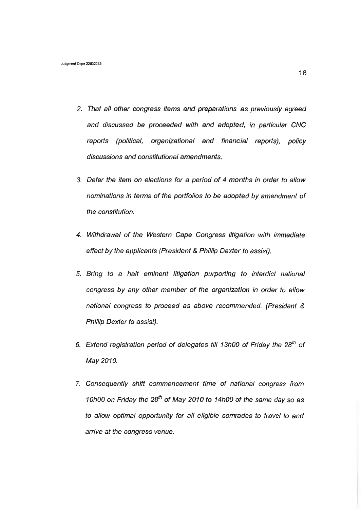- 2. *That alt other congress items and preparations as previously agreed and discussed be proceeded with and adopted*, *in particular CNC reports (political, organizational and financial reports), policy discussions and constitutional amendments.*
- *3. Defer the item on elections for a period of 4 months in order to allow nominations in terms of the portfolios to be adopted by amendment of the constitution.*
- *4. Withdrawal of the Western Cape Congress litigation with immediate effect by the applicants (President & Phillip Dexter to assist).*
- *5. Bring to a halt eminent litigation purporting to interdict national congress by any other member of the organization in order to allow national congress to proceed as above recommended. (President & Phillip Dexter to assist).*
- 6. Extend registration period of delegates till 13h00 of Friday the 28<sup>th</sup> of *May 2010.*
- *1. Consequently shift commencement time of national congress from 10h00 on Friday the 28th of May 2010 to 14h00 of the same day so as to allow optimal opportunity for all eligible comrades to travel to and arrive at the congress venue.*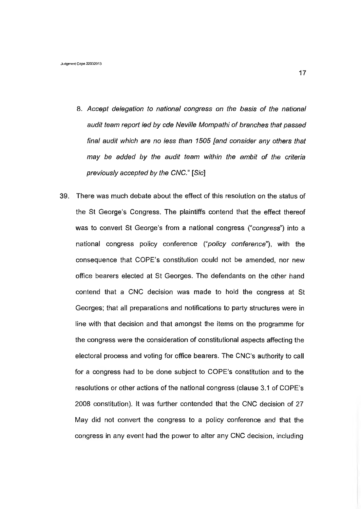- 8. *Accept delegation to national congress on the basis of the national audit team report led by cde Neville Mompathi of branches that passed final audit which are no less than 1505 [and consider any others that may be added by the audit team within the ambit of the criteria previously accepted by the CNC."* [S/c]
- 39. There was much debate about the effect of this resolution on the status of the St George's Congress. The plaintiffs contend that the effect thereof was to convert St George's from a national congress *("congress")* into a national congress policy conference *("policy conference"),* with the consequence that COPE's constitution could not be amended, nor new office bearers elected at St Georges. The defendants on the other hand contend that a CNC decision was made to hold the congress at St Georges; that all preparations and notifications to party structures were in line with that decision and that amongst the items on the programme for the congress were the consideration of constitutional aspects affecting the electoral process and voting for office bearers. The CNC's authority to call for a congress had to be done subject to COPE's constitution and to the resolutions or other actions of the national congress (clause 3.1 of COPE's 2008 constitution). It was further contended that the CNC decision of 27 May did not convert the congress to a policy conference and that the congress in any event had the power to alter any CNC decision, including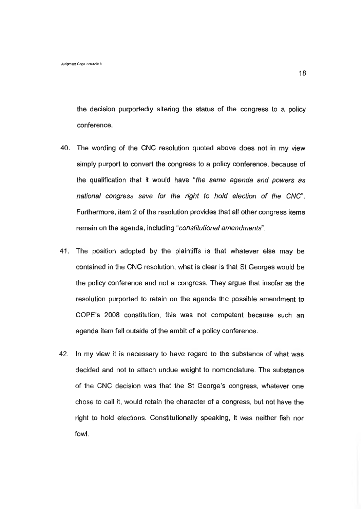the decision purportedly altering the status of the congress to a policy conference.

- 40. The wording of the CNC resolution quoted above does not in my view simply purport to convert the congress to a policy conference, because of the qualification that it would have *"the same agenda and powers as national congress save for the right to hold election of the CNC".* Furthermore, item 2 of the resolution provides that all other congress items remain on the agenda, including *"constitutional amendments".*
- 41. The position adopted by the plaintiffs is that whatever else may be contained in the CNC resolution, what is clear is that St Georges would be the policy conference and not a congress. They argue that insofar as the resolution purported to retain on the agenda the possible amendment to COPE's 2008 constitution, this was not competent because such an agenda item fell outside of the ambit of a policy conference.
- 42. In my view it is necessary to have regard to the substance of what was decided and not to attach undue weight to nomenclature. The substance of the CNC decision was that the St George's congress, whatever one chose to call it, would retain the character of a congress, but not have the right to hold elections. Constitutionally speaking, it was neither fish nor fowl.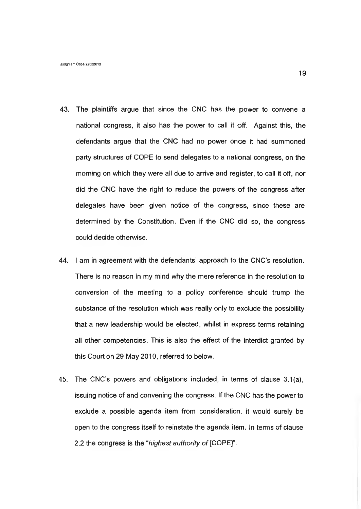- 43. The plaintiffs argue that since the CNC has the power to convene a national congress, it also has the power to call it off. Against this, the defendants argue that the CNC had no power once it had summoned party structures of COPE to send delegates to a national congress, on the morning on which they were all due to arrive and register, to call it off, nor did the CNC have the right to reduce the powers of the congress after delegates have been given notice of the congress, since these are determined by the Constitution. Even if the CNC did so, the congress could decide otherwise.
- 44. I am in agreement with the defendants' approach to the CNC's resolution. There is no reason in my mind why the mere reference in the resolution to conversion of the meeting to a policy conference should trump the substance of the resolution which was really only to exclude the possibility that a new leadership would be elected, whilst in express terms retaining all other competencies. This is also the effect of the interdict granted by this Court on 29 May 2010, referred to below.
- 45. The CNC's powers and obligations included, in terms of clause 3.1(a), issuing notice of and convening the congress. If the CNC has the power to exclude a possible agenda item from consideration, it would surely be open to the congress itself to reinstate the agenda item. In terms of clause 2.2 the congress is the *"highest authority of* [COPE]".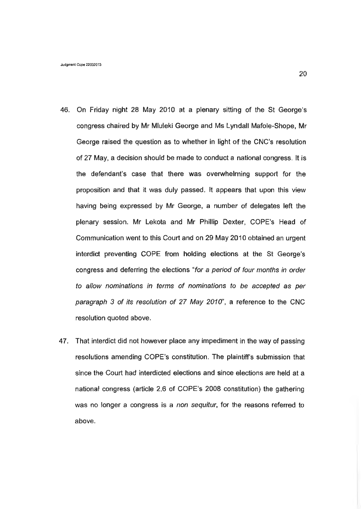- 46. On Friday night 28 May 2010 at a plenary sitting of the St George's congress chaired by Mr Mluleki George and Ms Lyndall Mafole-Shope, Mr George raised the question as to whether in light of the CNC's resolution of 27 May, a decision should be made to conduct a national congress. It is the defendant's case that there was overwhelming support for the proposition and that it was duly passed. It appears that upon this view having being expressed by Mr George, a number of delegates left the plenary session. Mr Lekota and Mr Phillip Dexter, COPE's Head of Communication went to this Court and on 29 May 2010 obtained an urgent interdict preventing COPE from holding elections at the St George's congress and deferring the elections "*for a period of four months in order to allow nominations in terms of nominations to be accepted as per paragraph 3 of its resolution of 27 May 2010",* a reference to the CNC resolution quoted above.
- 47. That interdict did not however place any impediment in the way of passing resolutions amending COPE's constitution. The plaintiff's submission that since the Court had interdicted elections and since elections are held at a national congress (article 2.6 of COPE's 2008 constitution) the gathering was no longer a congress is a *non sequitur,* for the reasons referred to above.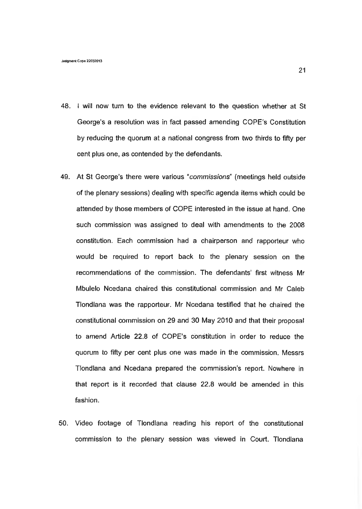- 48. I will now turn to the evidence relevant to the question whether at St George's a resolution was in fact passed amending COPE's Constitution by reducing the quorum at a national congress from two thirds to fifty per cent plus one, as contended by the defendants.
- 49. At St George's there were various "*commissions*" (meetings held outside of the plenary sessions) dealing with specific agenda items which could be attended by those members of COPE interested in the issue at hand. One such commission was assigned to deal with amendments to the 2008 constitution. Each commission had a chairperson and rapporteur who would be required to report back to the plenary session on the recommendations of the commission. The defendants' first witness Mr Mbulelo Ncedana chaired this constitutional commission and Mr Caleb Tlondlana was the rapporteur. Mr Ncedana testified that he chaired the constitutional commission on 29 and 30 May 2010 and that their proposal to amend Article 22.8 of COPE's constitution in order to reduce the quorum to fifty per cent plus one was made in the commission. Messrs Tlondlana and Ncedana prepared the commission's report. Nowhere in that report is it recorded that clause 22.8 would be amended in this fashion.
- 50. Video footage of Tlondlana reading his report of the constitutional commission to the plenary session was viewed in Court. Tlondlana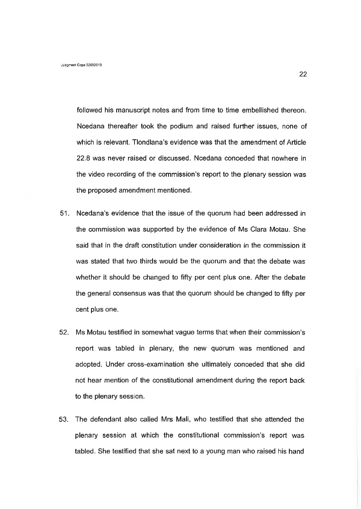followed his manuscript notes and from time to time embellished thereon. Ncedana thereafter took the podium and raised further issues, none of which is relevant. Tlondlana's evidence was that the amendment of Article 22.8 was never raised or discussed. Ncedana conceded that nowhere in the video recording of the commission's report to the plenary session was the proposed amendment mentioned.

- 51. Ncedana's evidence that the issue of the quorum had been addressed in the commission was supported by the evidence of Ms Clara Motau. She said that in the draft constitution under consideration in the commission it was stated that two thirds would be the quorum and that the debate was whether it should be changed to fifty per cent plus one. After the debate the general consensus was that the quorum should be changed to fifty per cent plus one.
- 52. Ms Motau testified in somewhat vague terms that when their commission's report was tabled in plenary, the new quorum was mentioned and adopted. Under cross-examination she ultimately conceded that she did not hear mention of the constitutional amendment during the report back to the plenary session.
- 53. The defendant also called Mrs Mali, who testified that she attended the plenary session at which the constitutional commission's report was tabled. She testified that she sat next to a young man who raised his hand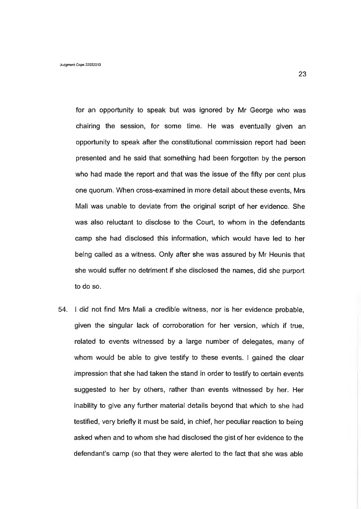for an opportunity to speak but was ignored by Mr George who was chairing the session, for some time. He was eventually given an opportunity to speak after the constitutional commission report had been presented and he said that something had been forgotten by the person who had made the report and that was the issue of the fifty per cent plus one quorum. When cross-examined in more detail about these events, Mrs Mali was unable to deviate from the original script of her evidence. She was also reluctant to disclose to the Court, to whom in the defendants camp she had disclosed this information, which would have led to her being called as a witness. Only after she was assured by Mr Heunis that she would suffer no detriment if she disclosed the names, did she purport to do so.

54. I did not find Mrs Mali a credible witness, nor is her evidence probable, given the singular lack of corroboration for her version, which if true, related to events witnessed by a large number of delegates, many of whom would be able to give testify to these events. I gained the clear impression that she had taken the stand in order to testify to certain events suggested to her by others, rather than events witnessed by her. Her inability to give any further material details beyond that which to she had testified, very briefly it must be said, in chief, her peculiar reaction to being asked when and to whom she had disclosed the gist of her evidence to the defendant's camp (so that they were alerted to the fact that she was able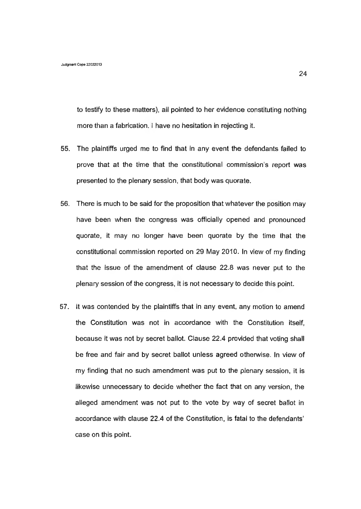to testify to these matters), all pointed to her evidence constituting nothing more than a fabrication. I have no hesitation in rejecting it.

- 55. The plaintiffs urged me to find that in any event the defendants failed to prove that at the time that the constitutional commission's report was presented to the plenary session, that body was quorate.
- 56. There is much to be said for the proposition that whatever the position may have been when the congress was officially opened and pronounced quorate, it may no longer have been quorate by the time that the constitutional commission reported on 29 May 2010. In view of my finding that the issue of the amendment of clause 22.8 was never put to the plenary session of the congress, it is not necessary to decide this point.
- 57. It was contended by the plaintiffs that in any event, any motion to amend the Constitution was not in accordance with the Constitution itself, because it was not by secret ballot. Clause 22.4 provided that voting shall be free and fair and by secret ballot unless agreed otherwise. In view of my finding that no such amendment was put to the plenary session, it is likewise unnecessary to decide whether the fact that on any version, the alleged amendment was not put to the vote by way of secret ballot in accordance with clause 22.4 of the Constitution, is fatal to the defendants' case on this point.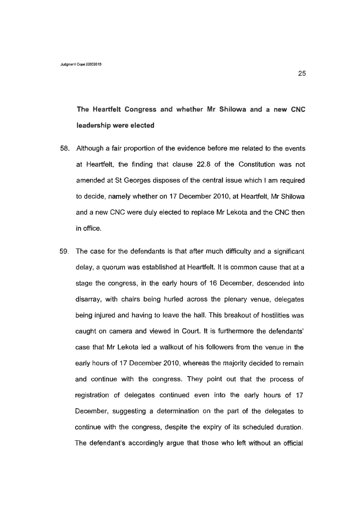**The Heartfelt Congress and whether Mr Shilowa and a new CNC leadership were elected**

- 58. Although a fair proportion of the evidence before me related to the events at Heartfelt, the finding that clause 22.8 of the Constitution was not amended at St Georges disposes of the central issue which I am required to decide, namely whether on 17 December 2010, at Heartfelt, Mr Shilowa and a new CNC were duly elected to replace Mr Lekota and the CNC then in office.
- 59. The case for the defendants is that after much difficulty and a significant delay, a quorum was established at Heartfelt. It is common cause that at a stage the congress, in the early hours of 16 December, descended into disarray, with chairs being hurled across the plenary venue, delegates being injured and having to leave the hall. This breakout of hostilities was caught on camera and viewed in Court. It is furthermore the defendants' case that Mr Lekota led a walkout of his followers from the venue in the early hours of 17 December 2010, whereas the majority decided to remain and continue with the congress. They point out that the process of registration of delegates continued even into the early hours of 17 December, suggesting a determination on the part of the delegates to continue with the congress, despite the expiry of its scheduled duration. The defendant's accordingly argue that those who left without an official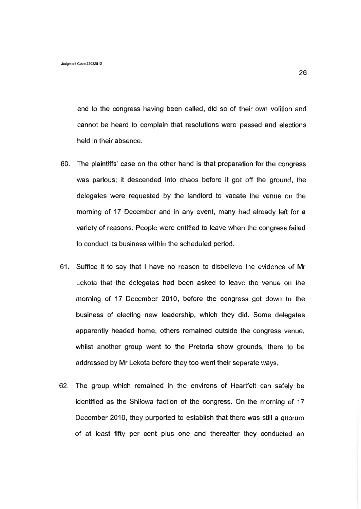end to the congress having been called, did so of their own volition and cannot be heard to complain that resolutions were passed and elections held in their absence.

- 60. The plaintiffs' case on the other hand is that preparation for the congress was parlous; it descended into chaos before it got off the ground, the delegates were requested by the landlord to vacate the venue on the morning of 17 December and in any event, many had already left for a variety of reasons. People were entitled to leave when the congress failed to conduct its business within the scheduled period.
- 61. Suffice it to say that I have no reason to disbelieve the evidence of Mr Lekota that the delegates had been asked to leave the venue on the morning of 17 December 2010, before the congress got down to the business of electing new leadership, which they did. Some delegates apparently headed home, others remained outside the congress venue, whilst another group went to the Pretoria show grounds, there to be addressed by Mr Lekota before they too went their separate ways.
- 62. The group which remained in the environs of Heartfelt can safely be identified as the Shilowa faction of the congress. On the morning of 17 December 2010, they purported to establish that there was still a quorum of at least fifty per cent plus one and thereafter they conducted an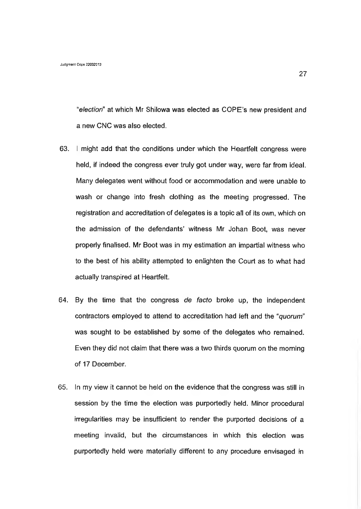"*election"* at which Mr Shilowa was elected as COPE's new president and a new CNC was also elected.

- 63. I might add that the conditions under which the Heartfelt congress were held, if indeed the congress ever truly got under way, were far from ideal. Many delegates went without food or accommodation and were unable to wash or change into fresh clothing as the meeting progressed. The registration and accreditation of delegates is a topic all of its own, which on the admission of the defendants' witness Mr Johan Boot, was never properly finalised. Mr Boot was in my estimation an impartial witness who to the best of his ability attempted to enlighten the Court as to what had actually transpired at Heartfelt.
- 64. By the time that the congress *de facto* broke up, the independent contractors employed to attend to accreditation had left and the *"quorum"* was sought to be established by some of the delegates who remained. Even they did not claim that there was a two thirds quorum on the morning of 17 December.
- 65. In my view it cannot be held on the evidence that the congress was still in session by the time the election was purportedly held. Minor procedural irregularities may be insufficient to render the purported decisions of a meeting invalid, but the circumstances in which this election was purportedly held were materially different to any procedure envisaged in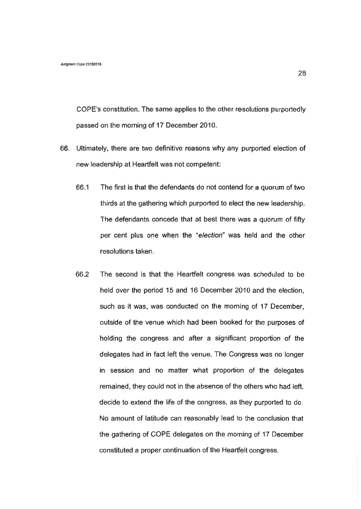COPE's constitution. The same applies to the other resolutions purportedly passed on the morning of 17 December 2010.

- 66. Ultimately, there are two definitive reasons why any purported election of new leadership at Heartfelt was not competent:
	- 66.1 The first is that the defendants do not contend for a quorum of two thirds at the gathering which purported to elect the new leadership. The defendants concede that at best there was a quorum of fifty per cent plus one when the "*election"* was held and the other resolutions taken.
	- 66.2 The second is that the Heartfelt congress was scheduled to be held over the period 15 and 16 December 2010 and the election, such as it was, was conducted on the morning of 17 December, outside of the venue which had been booked for the purposes of holding the congress and after a significant proportion of the delegates had in fact left the venue. The Congress was no longer in session and no matter what proportion of the delegates remained, they could not in the absence of the others who had left, decide to extend the life of the congress, as they purported to do. No amount of latitude can reasonably lead to the conclusion that the gathering of COPE delegates on the morning of 17 December constituted a proper continuation of the Heartfelt congress.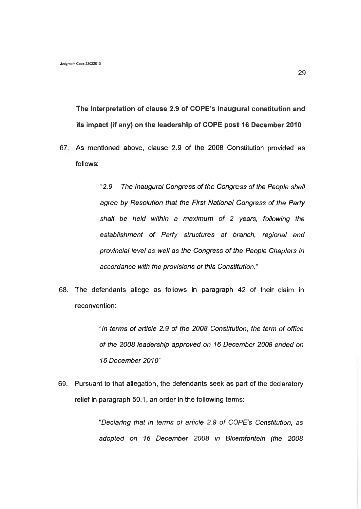**The interpretation of clause 2.9 of COPE's inaugural constitution and its impact (if any) on the leadership of COPE post 16 December 2010**

67 As mentioned above, clause 2.9 of the 2008 Constitution provided as follows:

> "2.*9 The Inaugural Congress of the Congress of the People shall agree by Resolution that the First National Congress of the Party shall be held within a maximum of 2 years, following the establishment of Party structures at branch, regional and provincial level as well as the Congress of the People Chapters in accordance with the provisions of this Constitution."*

68. The defendants allege as follows in paragraph 42 of their claim in reconvention:

> *"In terms of article 2.9 of the 2008 Constitution, the term of office of the 2008 leadership approved on 16 December 2008 ended on 16 December 2010"*

69. Pursuant to that allegation, the defendants seek as part of the declaratory relief in paragraph 50.1, an order in the following terms:

> *"Declaring that in terms of article 2.9 of COPE's Constitution, as adopted on 16 December 2008 in Bloemfontein (the 2008*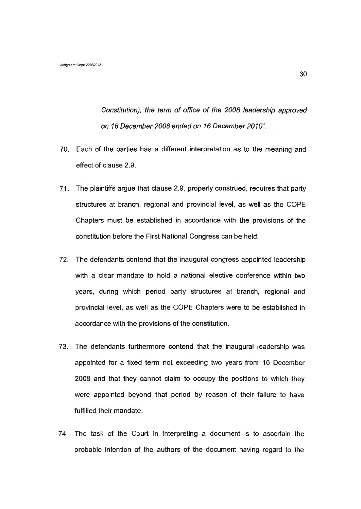*Constitution), the term of office of the 2008 leadership approved on 16 December 2008 ended on 16 December 2010"*

- 70. Each of the parties has a different interpretation as to the meaning and effect of clause 2.9.
- 71. The plaintiffs argue that clause 2.9, properly construed, requires that party structures at branch, regional and provincial level, as well as the COPE Chapters must be established in accordance with the provisions of the constitution before the First National Congress can be held.
- 72. The defendants contend that the inaugural congress appointed leadership with a clear mandate to hold a national elective conference within two years, during which period party structures at branch, regional and provincial level, as well as the COPE Chapters were to be established in accordance with the provisions of the constitution.
- 73. The defendants furthermore contend that the inaugural leadership was appointed for a fixed term not exceeding two years from 16 December 2008 and that they cannot claim to occupy the positions to which they were appointed beyond that period by reason of their failure to have fulfilled their mandate.
- 74. The task of the Court in interpreting a document is to ascertain the probable intention of the authors of the document having regard to the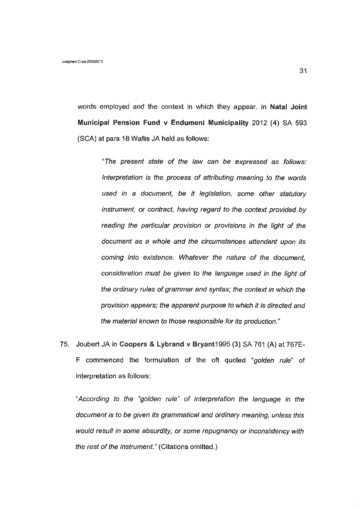words employed and the context in which they appear. In **Natal Joint Municipal Pension Fund v Endumeni Municipality 2012 (4)** SA **593** (SCA) at para 18 Wallis JA held as follows:

*"The present state of the law can be expressed as follows: interpretation is the process of attributing meaning to the words used in a document, be it legislation, some other statutory instrument, or contract, having regard to the context provided by reading the particular provision or provisions in the light of the document as a whole and the circumstances attendant upon its coming into existence. Whatever the nature of the document, consideration must be given to the language used in the light of the ordinary rules of grammar and syntax; the context in which the provision appears; the apparent purpose to which it is directed and the material known to those responsible for its production."*

75. Joubert JA in **Coopers & Lybrand v Bryant1995** (3) SA 761 (A) at 767E-F commenced the formulation of the oft quoted *"golden rule*" of interpretation as follows:

*"According to the "golden rule" of interpretation the language in the document is to be given its grammatical and ordinary meaning, unless this would result in some absurdity, or some repugnancy or inconsistency with the rest of the instrument.''* (Citations omitted.)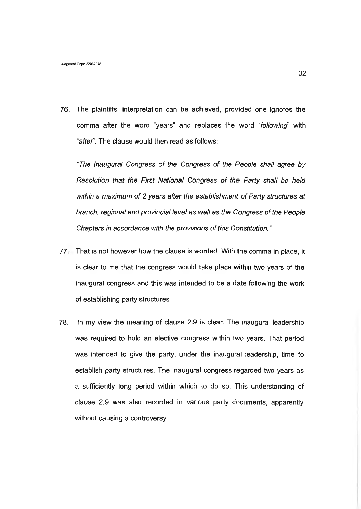76. The plaintiffs' interpretation can be achieved, provided one ignores the comma after the word "years" and replaces the word "*following*" with *"aftef.* The clause would then read as follows:

*"The Inaugural Congress of the Congress of the People shall agree by Resolution that the First National Congress of the Party shall be held within a maximum of 2 years after the establishment of Party structures at branch, regional and provincial level as well as the Congress of the People Chapters in accordance with the provisions of this Constitution. ''*

- 77 That is not however how the clause is worded. With the comma in place, it is clear to me that the congress would take place within two years of the inaugural congress and this was intended to be a date following the work of establishing party structures.
- 78. In my view the meaning of clause 2.9 is clear. The inaugural leadership was required to hold an elective congress within two years. That period was intended to give the party, under the inaugural leadership, time to establish party structures. The inaugural congress regarded two years as a sufficiently long period within which to do so. This understanding of clause 2.9 was also recorded in various party documents, apparently without causing a controversy.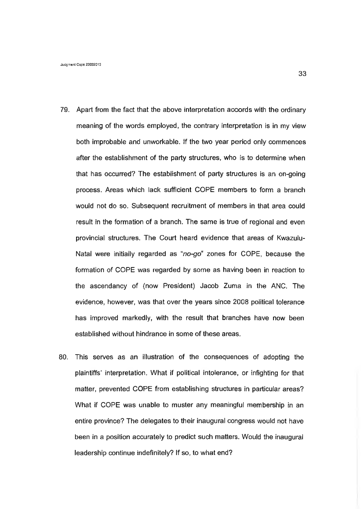- 79. Apart from the fact that the above interpretation accords with the ordinary meaning of the words employed, the contrary interpretation is in my view both improbable and unworkable. If the two year period only commences after the establishment of the party structures, who is to determine when that has occurred? The establishment of party structures is an on-going process. Areas which lack sufficient COPE members to form a branch would not do so. Subsequent recruitment of members in that area could result in the formation of a branch. The same is true of regional and even provincial structures. The Court heard evidence that areas of Kwazulu-Natal were initially regarded as *"no-go"* zones for COPE, because the formation of COPE was regarded by some as having been in reaction to the ascendancy of (now President) Jacob Zuma in the ANC. The evidence, however, was that over the years since 2008 political tolerance has improved markedly, with the result that branches have now been established without hindrance in some of these areas.
- 80. This serves as an illustration of the consequences of adopting the plaintiffs' interpretation. What if political intolerance, or infighting for that matter, prevented COPE from establishing structures in particular areas? What if COPE was unable to muster any meaningful membership in an entire province? The delegates to their inaugural congress would not have been in a position accurately to predict such matters. Would the inaugural leadership continue indefinitely? If so, to what end?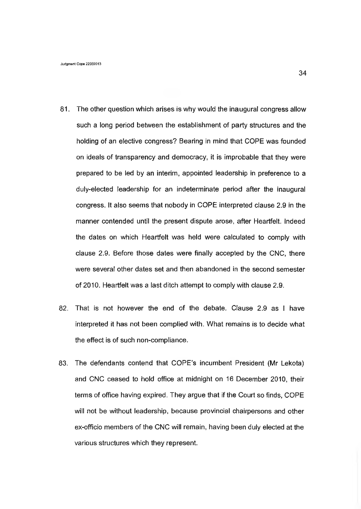- 81. The other question which arises is why would the inaugural congress allow such a long period between the establishment of party structures and the holding of an elective congress? Bearing in mind that COPE was founded on ideals of transparency and democracy, it is improbable that they were prepared to be led by an interim, appointed leadership in preference to a duly-elected leadership for an indeterminate period after the inaugural congress. It also seems that nobody in COPE interpreted clause 2.9 in the manner contended until the present dispute arose, after Heartfelt. Indeed the dates on which Heartfelt was held were calculated to comply with clause 2.9. Before those dates were finally accepted by the CNC, there were several other dates set and then abandoned in the second semester of 2010. Heartfelt was a last ditch attempt to comply with clause 2.9.
- 82. That is not however the end of the debate. Clause 2.9 as I have interpreted it has not been complied with. What remains is to decide what the effect is of such non-compliance.
- 83. The defendants contend that COPE's incumbent President (Mr Lekota) and CNC ceased to hold office at midnight on 16 December 2010, their terms of office having expired. They argue that if the Court so finds, COPE will not be without leadership, because provincial chairpersons and other ex-officio members of the CNC will remain, having been duly elected at the various structures which they represent.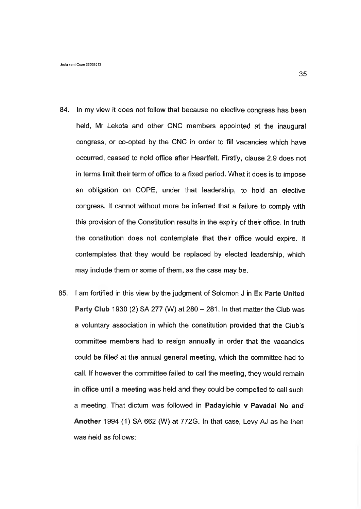- 84. In my view it does not follow that because no elective congress has been held, Mr Lekota and other CNC members appointed at the inaugural congress, or co-opted by the CNC in order to fill vacancies which have occurred, ceased to hold office after Heartfelt. Firstly, clause 2.9 does not in terms limit their term of office to a fixed period. What it does is to impose an obligation on COPE, under that leadership, to hold an elective congress. It cannot without more be inferred that a failure to comply with this provision of the Constitution results in the expiry of their office. In truth the constitution does not contemplate that their office would expire. It contemplates that they would be replaced by elected leadership, which may include them or some of them, as the case may be.
- 85. I am fortified in this view by the judgment of Solomon J in Ex Parte United Party **Club** 1930 (2) SA 277 (W) at 280 - 281. In that matter the Club was a voluntary association in which the constitution provided that the Club's committee members had to resign annually in order that the vacancies could be filled at the annual general meeting, which the committee had to call. If however the committee failed to call the meeting, they would remain in office until a meeting was held and they could be compelled to call such a meeting. That dictum was followed in Padayichie v Pavadai No and Another 1994 (1) SA 662 (W) at 772G. In that case, Levy AJ as he then was held as follows: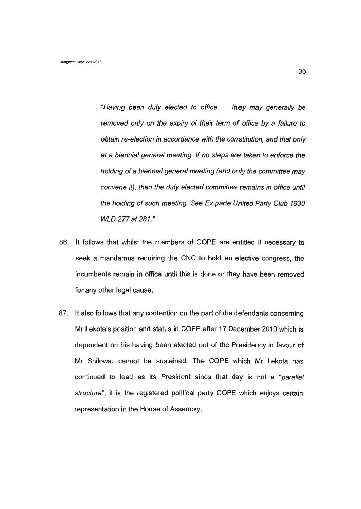*"Having been duly elected to office* ... *they may generally be removed only on the expiry of their term of office by a failure to obtain re-election in accordance with the constitution, and that only at a biennial general meeting. If no steps are taken to enforce the holding of a biennial general meeting (and only the committee may convene it), then the duly elected committee remains in office until the holding of such meeting. See Ex parte United Party Club 1930 WLD 277 at 281."*

- 86. It follows that whilst the members of COPE are entitled if necessary to seek a mandamus requiring the CNC to hold an elective congress, the incumbents remain in office until this is done or they have been removed for any other legal cause.
- 87. It also follows that any contention on the part of the defendants concerning Mr Lekota's position and status in COPE after 17 December 2010 which is dependent on his having been elected out of the Presidency in favour of Mr Shilowa, cannot be sustained. The COPE which Mr Lekota has continued to lead as its President since that day is not a *"parallel structure*"; it is the registered political party COPE which enjoys certain representation in the House of Assembly.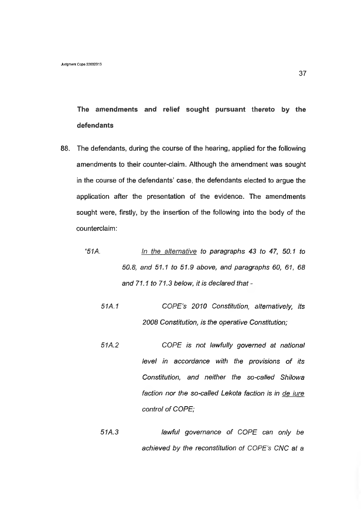**The amendments and relief sought pursuant thereto by the defendants**

- 88. The defendants, during the course of the hearing, applied for the following amendments to their counter-claim. Although the amendment was sought in the course of the defendants' case, the defendants elected to argue the application after the presentation of the evidence. The amendments sought were, firstly, by the insertion of the following into the body of the counterclaim:
	- *"51 A. In the alternative to paragraphs 43 to 47, 50.1 to 50.8, and 51.1 to 51.9 above, and paragraphs 60, 61, 68 and 71.1 to 71.3 below, it is declared that* -
		- *51A.1 COPE's 2010 Constitution, alternatively, its 2008 Constitution, is the operative Constitution;*
		- *51A.2 COPE is not lawfully governed at national level in accordance with the provisions of its Constitution, and neither the so-called Shilowa faction nor the so-called Lekota faction is in de jure control of COPE;*
		- *51A.3 lawful governance of COPE can only be achieved by the reconstitution of COPE's CNC at a*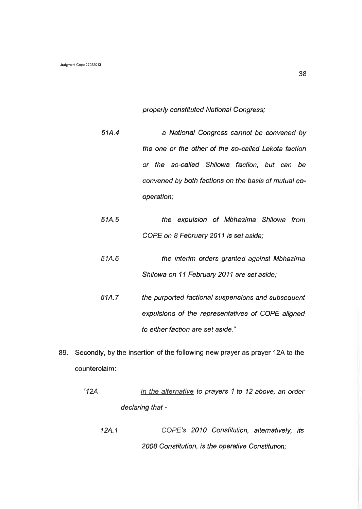*properly constituted National Congress;*

- *51A.4* a *National Congress cannot be convened by the one or the other of the so-called Lekota faction or the so-called Shilowa faction, but can be convened by both factions on the basis of mutual cooperation;*
- *51 A. 5 the expulsion of Mbhazima Shilowa from COPE on 8 February 2011 is set aside;*
- *51 A. 6 the interim orders granted against Mbhazima Shilowa on 11 February 2011 are set aside;*
- *51A.7 the purported factional suspensions and subsequent expulsions of the representatives of COPE aligned to either faction are set aside. "*
- 89. Secondly, by the insertion of the following new prayer as prayer 12A to the counterclaim:
	- *"12A In the alternative to prayers 1 to 12 above, an order declaring that* -
		- *12A.1 COPE's 2010 Constitution, alternatively, its 2008 Constitution, is the operative Constitution;*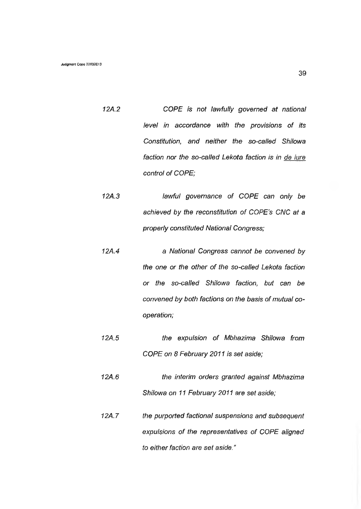- *12A.2 COPE is not lawfully governed at national level in accordance with the provisions of its Constitution, and neither the so-called Shilowa faction nor the so-called Lekota faction is in de iure control of COPE;*
- *12A.3 lawful governance of COPE can only be achieved by the reconstitution of COPE's CNC at a properly constituted National Congress;*
- *12A.4 a National Congress cannot be convened by the one or the other of the so-called Lekota faction or the so-called Shilowa faction, but can be convened by both factions on the basis of mutual cooperation;*
- *12A.5 the expulsion of Mbhazima Shilowa from COPE on 8 February 2011 is set aside;*

*12A.6 the interim orders granted against Mbhazima Shilowa on 11 February 2011 are set aside;*

*12A.7 the purported factional suspensions and subsequent expulsions of the representatives of COPE aligned to either faction are set aside."*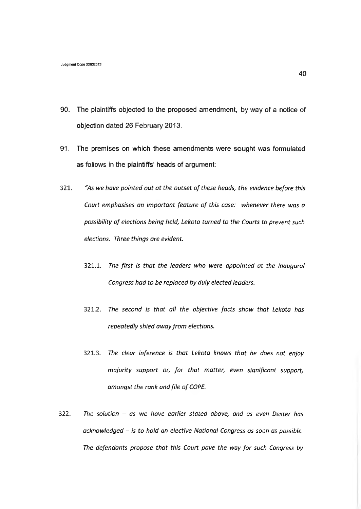- 90. The plaintiffs objected to the proposed amendment, by way of a notice of objection dated 26 February 2013.
- 91, The premises on which these amendments were sought was formulated as follows in the plaintiffs' heads of argument:
- **321,** *"As we have pointed out a t the outset o f these heads***,** *the evidence before this Court emphasises an important feature of this case: whenever there was a* possibility of elections being held, Lekota turned to the Courts to prevent such *elections. Three things are evident.*
	- **321.1.** The first is that the leaders who were appointed at the Inaugural *Congress had to be replaced by duly elected leaders.*
	- **321.2.** *The second is that all the objective facts show that Lekota has* repeatedly shied away from elections.
	- **321.3.** *The clear inference is that Lekota knows that he does not enjoy majority support or, for that matter, even significant support, amongst the rank and file of COPE.*
- **322.** *The solution as we have earlier stated above, and as even Dexter has acknowledged* **-** *is to hold an elective National Congress as soon as possible.* The defendants propose that this Court pave the way for such Congress by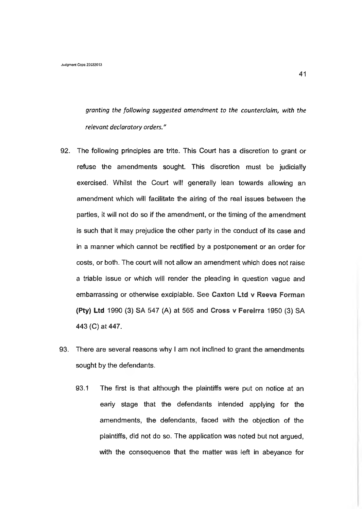*granting the following suggested amendment to the counterclaim, with the relevant declaratory orders."*

- 92. The following principles are trite. This Court has a discretion to grant or refuse the amendments sought. This discretion must be judicially exercised. Whilst the Court will generally lean towards allowing an amendment which will facilitate the airing of the real issues between the parties, it will not do so if the amendment, or the timing of the amendment is such that it may prejudice the other party in the conduct of its case and in a manner which cannot be rectified by a postponement or an order for costs, or both. The court will not allow an amendment which does not raise a triable issue or which will render the pleading in question vague and embarrassing or otherwise excipiable. See **Caxton Ltd v Reeva Forman (Pty) Ltd** 1990 (3) SA 547 (A) at 565 and **Cross v** Fereirra 1950 (3) SA 443 (C) at 447.
- 93. There are several reasons why I am not inclined to grant the amendments sought by the defendants.
	- 93.1 The first is that although the plaintiffs were put on notice at an eariy stage that the defendants intended applying for the amendments, the defendants, faced with the objection of the plaintiffs, did not do so. The application was noted but not argued, with the consequence that the matter was left in abeyance for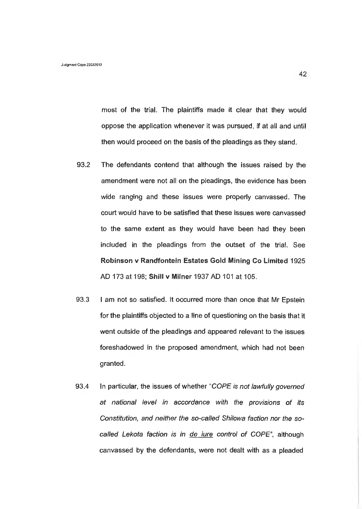most of the trial. The plaintiffs made it clear that they would oppose the application whenever it was pursued, if at all and until then would proceed on the basis of the pleadings as they stand.

- 93.2 The defendants contend that although the issues raised by the amendment **were** not all **on** the pleadings, **the** evidence has been wide ranging and these issues were properly canvassed. The court would have to be satisfied that these issues were canvassed to the same extent as they would have been had they been included in the pleadings from the outset of the trial. See **Robinson v Randfontein Estates Gold Mining Co Limited** 1925 AD 173 at 198; **Shill v Milner** 1937 AD 101 at 105.
- 93.3 I am not so satisfied. It occurred more than once that Mr Epstein for the plaintiffs objected to a line of questioning on the basis that it went outside of the pleadings and appeared relevant to the issues foreshadowed in the proposed amendment, which had not been granted.
- 93.4 In particular, the issues of whether "*COPE is not lawfully governed at national level in accordance with the provisions of its Constitution, and neither the so-called Shilowa faction nor the socalled Lekota faction is in de jure control of COPE",* although canvassed by the defendants, were not dealt with as a pleaded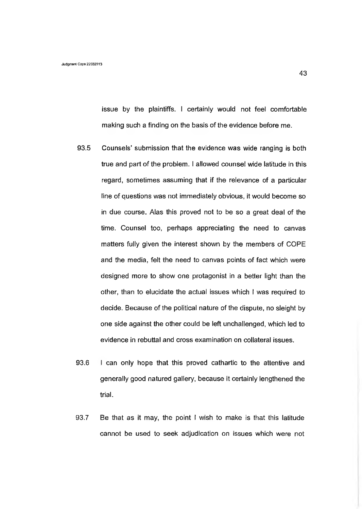issue by the plaintiffs. I certainly would not feel comfortable making such a finding on the basis of the evidence before me.

- 93.5 Counsels' submission that the evidence was wide ranging is both true and part of the problem. I allowed counsel wide latitude in this regard, sometimes assuming that if the relevance of a particular line of questions was not immediately obvious, it would become so in due course. Alas this proved not to be so a great deal of the time. Counsel too, perhaps appreciating the need to canvas matters fully given the interest shown by the members of COPE and the media, felt the need to canvas points of fact which were designed more to show one protagonist in a better light than the other, than to elucidate the actual issues which I was required to decide. Because of the political nature of the dispute, no sleight by one side against the other could be left unchallenged, which led to evidence in rebuttal and cross examination on collateral issues.
- 93.6 I can only hope that this proved cathartic to the attentive and generally good natured gallery, because it certainly lengthened the trial.
- 93.7 Be that as it may, the point I wish to make is that this latitude cannot be used to seek adjudication on issues which were not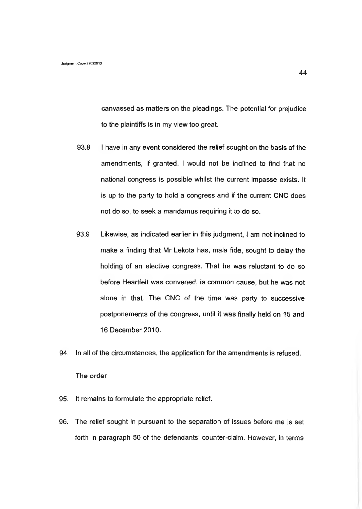canvassed as matters on the pleadings. The potential for prejudice to the plaintiffs is in my view too great.

- 93.8 I have in any event considered the relief sought on the basis of the amendments, if granted. I would not be inclined to find that no national congress is possible whilst the current impasse exists. It is up to the party to hold a congress and if the current CNC does not do so, to seek a mandamus requiring it to do so.
- 93.9 Likewise, as indicated earlier in this judgment, I am not inclined to make a finding that Mr Lekota has, mala fide, sought to delay the holding of an elective congress. That he was reluctant to do so before Heartfelt was convened, is common cause, but he was not alone in that. The CNC of the time was party to successive postponements of the congress, until it was finally held on 15 and 16 December 2010.
- 94. In all of the circumstances, the application for the amendments is refused.

## **The order**

- 95. It remains to formulate the appropriate relief.
- 96. The relief sought in pursuant to the separation of issues before me is set forth in paragraph 50 of the defendants' counter-claim. However, in terms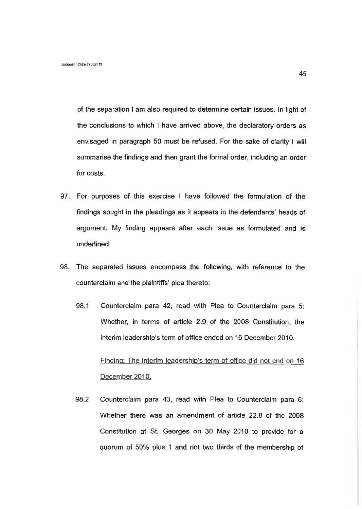of the separation I am also required to determine certain issues. In light of the conclusions to which I have arrived above, the declaratory orders as envisaged in paragraph 50 must be refused. For the sake of clarity I will summarise the findings and then grant the formal order, including an order for costs.

- 97. For purposes of this exercise I have followed the formulation of the findings sought in the pleadings as it appears in the defendants' heads of argument. My finding appears after each issue as formulated and is underlined.
- 98. The separated issues encompass the following, with reference to the counterclaim and the plaintiffs' plea thereto:
	- 98.1 Counterclaim para 42, read with Plea to Counterclaim para 5: Whether, in terms of article 2.9 of the 2008 Constitution, the interim leadership's term of office ended on 16 December 2010.

Finding: The interim leadership's term of office did not end on 16 December 2010.

98.2 Counterclaim para 43, read with Plea to Counterclaim para 6: Whether there was an amendment of article 22.8 of the 2008 Constitution at St. Georges on 30 May 2010 to provide for a quorum of 50% plus 1 and not two thirds of the membership of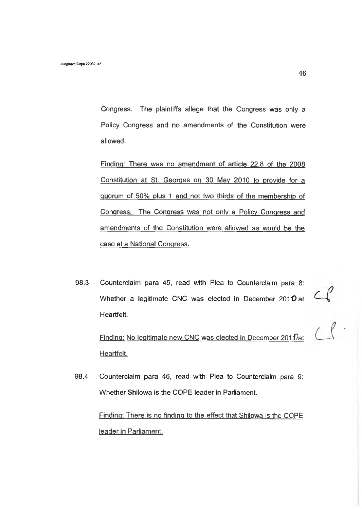Congress. The plaintiffs allege that the Congress was only a Policy Congress and no amendments of the Constitution were allowed.

Finding: There was no amendment of article 22.8 of the 2008 Constitution at St. Georges on 30 May 2010 to provide for a quorum of 50% plus 1 and not two thirds of the membership of Congress. The Congress was not only a Policy Congress and amendments of the Constitution were allowed as would be the case at a National Congress.

98.3 Counterclaim para 45, read with Plea to Counterclaim para 8: Whether a legitimate CNC was elected in December 2010 at Heartfelt.

Finding: No legitimate new CNC was elected in December 201 $\mathcal{D}$ at Heartfelt.

98.4 Counterclaim para 46, read with Plea to Counterclaim para 9: Whether Shilowa is the COPE leader in Parliament.

> Finding: There is no finding to the effect that Shilowa is the COPE leader in Parliament.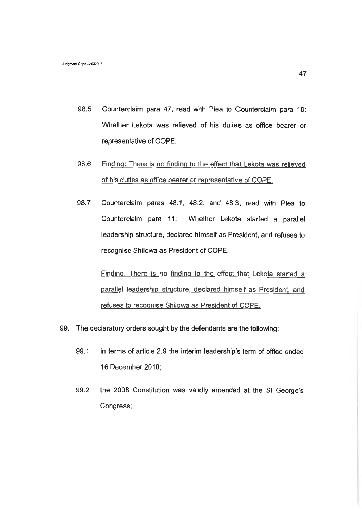- 98.5 Counterclaim para 47, read with Plea to Counterclaim para 10: Whether Lekota was relieved of his duties as office bearer or representative of COPE.
- 98.6 Finding: There is no finding to the effect that Lekota was relieved of his duties as office bearer or representative of COPE.
- 98.7 Counterclaim paras 48.1, 48.2, and 48.3, read with Plea to Counterclaim para 11: Whether Lekota started a parallel leadership structure, declared himself as President, and refuses to recognise Shilowa as President of COPE.

Finding: There is no finding to the effect that Lekota started a parallel leadership structure, declared himself as President, and refuses to recognise Shilowa as President of COPE.

- 99. The declaratory orders sought by the defendants are the following:
	- 99.1 in terms of article 2.9 the interim leadership's term of office ended 16 December 2010;
	- 99.2 the 2008 Constitution was validly amended at the St George's Congress;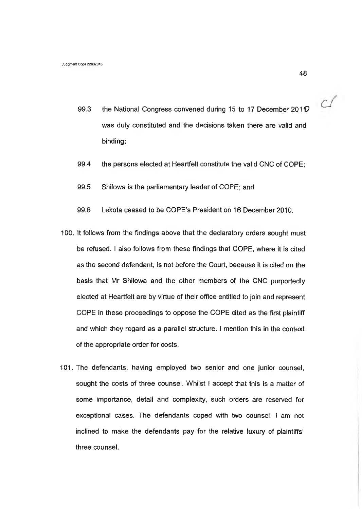- 99.3 the National Congress convened during 15 to 17 December *201V* was duly constituted and the decisions taken there are valid and binding;
- 99.4 the persons elected at Heartfelt constitute the valid CNC of COPE;
- 99.5 Shilowa is the parliamentary leader of COPE; and
- 99.6 Lekota ceased to be COPE's President on 16 December 2010.
- 100. It follows from the findings above that the declaratory orders sought must be refused. I also follows from these findings that COPE, where it is cited as the second defendant, is not before the Court, because it is cited on the basis that Mr Shilowa and the other members of the CNC purportedly elected at Heartfelt are by virtue of their office entitled to join and represent COPE in these proceedings to oppose the COPE cited as the first plaintiff and which they regard as a parallel structure. I mention this in the context of the appropriate order for costs.
- 101. The defendants, having employed two senior and one junior counsel, sought the costs of three counsel. Whilst I accept that this is a matter of some importance, detail and complexity, such orders are reserved for exceptional cases. The defendants coped with two counsel. I am not inclined to make the defendants pay for the relative luxury of plaintiffs' three counsel.

 $C$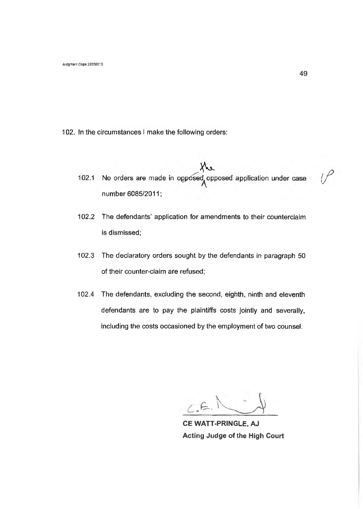- 102. In the circumstances I make the following orders:
	- 102.1 No orders are made in opposed opposed application under case number 6085/2011;
	- **102.2** The defendants' application for amendments to their counterclaim is dismissed;
	- 102.3 The declaratory orders sought by the defendants in paragraph 50 of their counter-claim are refused;
	- 102.4 The defendants, excluding the second, eighth, ninth and eleventh defendants are to pay the plaintiffs costs jointly and severally, including the costs occasioned by the employment of two counsel.

 $C.E$ 

**CE WATT-PRINGLE, AJ Acting Judge of the High Court**